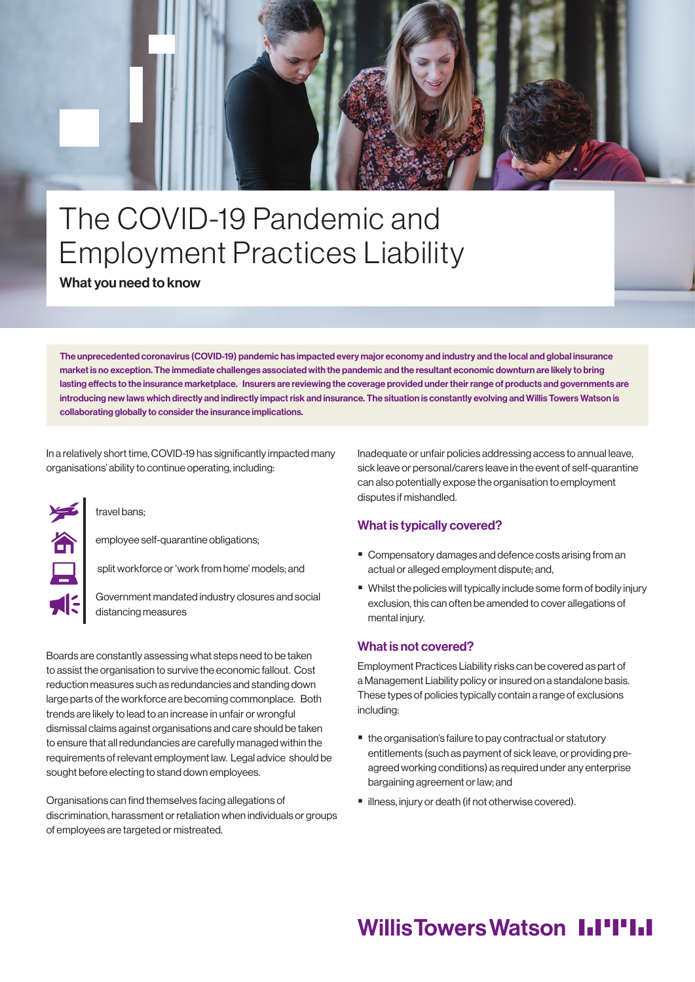

# The COVID-19 Pandemic and Employment Practices Liability

What you need to know

The unprecedented coronavirus (COVID-19) pandemic has impacted every major economy and industry and the local and global insurance market is no exception. The immediate challenges associated with the pandemic and the resultant economic downturn are likely to bring lasting effects to the insurance marketplace. Insurers are reviewing the coverage provided under their range of products and governments are introducing new laws which directly and indirectly impact risk and insurance. The situation is constantly evolving and Willis Towers Watson is collaborating globally to consider the insurance implications.

In a relatively short time, COVID-19 has significantly impacted many organisations' ability to continue operating, including:

#### travel bans;

employee self-quarantine obligations;

split workforce or 'work from home' models; and

Government mandated industry closures and social distancing measures

Boards are constantly assessing what steps need to be taken to assist the organisation to survive the economic fallout. Cost reduction measures such as redundancies and standing down large parts of the workforce are becoming commonplace. Both trends are likely to lead to an increase in unfair or wrongful dismissal claims against organisations and care should be taken to ensure that all redundancies are carefully managed within the requirements of relevant employment law. Legal advice should be sought before electing to stand down employees.

Organisations can find themselves facing allegations of discrimination, harassment or retaliation when individuals or groups of employees are targeted or mistreated.

Inadequate or unfair policies addressing access to annual leave, sick leave or personal/carers leave in the event of self-quarantine can also potentially expose the organisation to employment disputes if mishandled.

### What is typically covered?

- Compensatory damages and defence costs arising from an actual or alleged employment dispute; and,
- Whilst the policies will typically include some form of bodily injury exclusion, this can often be amended to cover allegations of mental injury.

#### What is not covered?

Employment Practices Liability risks can be covered as part of a Management Liability policy or insured on a standalone basis. These types of policies typically contain a range of exclusions including:

- the organisation's failure to pay contractual or statutory entitlements (such as payment of sick leave, or providing preagreed working conditions) as required under any enterprise bargaining agreement or law; and
- **I** illness, injury or death (if not otherwise covered).

## **Willis Towers Watson I.I'I'I.I**